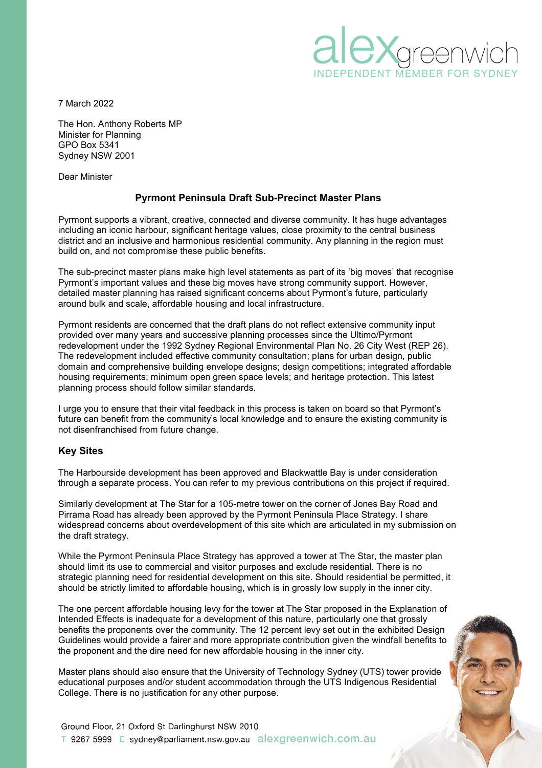

7 March 2022

The Hon. Anthony Roberts MP Minister for Planning GPO Box 5341 Sydney NSW 2001

Dear Minister

# **Pyrmont Peninsula Draft Sub-Precinct Master Plans**

Pyrmont supports a vibrant, creative, connected and diverse community. It has huge advantages including an iconic harbour, significant heritage values, close proximity to the central business district and an inclusive and harmonious residential community. Any planning in the region must build on, and not compromise these public benefits.

The sub-precinct master plans make high level statements as part of its 'big moves' that recognise Pyrmont's important values and these big moves have strong community support. However, detailed master planning has raised significant concerns about Pyrmont's future, particularly around bulk and scale, affordable housing and local infrastructure.

Pyrmont residents are concerned that the draft plans do not reflect extensive community input provided over many years and successive planning processes since the Ultimo/Pyrmont redevelopment under the 1992 Sydney Regional Environmental Plan No. 26 City West (REP 26). The redevelopment included effective community consultation; plans for urban design, public domain and comprehensive building envelope designs; design competitions; integrated affordable housing requirements; minimum open green space levels; and heritage protection. This latest planning process should follow similar standards.

I urge you to ensure that their vital feedback in this process is taken on board so that Pyrmont's future can benefit from the community's local knowledge and to ensure the existing community is not disenfranchised from future change.

#### **Key Sites**

The Harbourside development has been approved and Blackwattle Bay is under consideration through a separate process. You can refer to my previous contributions on this project if required.

Similarly development at The Star for a 105-metre tower on the corner of Jones Bay Road and Pirrama Road has already been approved by the Pyrmont Peninsula Place Strategy. I share widespread concerns about overdevelopment of this site which are articulated in my submission on the draft strategy.

While the Pyrmont Peninsula Place Strategy has approved a tower at The Star, the master plan should limit its use to commercial and visitor purposes and exclude residential. There is no strategic planning need for residential development on this site. Should residential be permitted, it should be strictly limited to affordable housing, which is in grossly low supply in the inner city.

The one percent affordable housing levy for the tower at The Star proposed in the Explanation of Intended Effects is inadequate for a development of this nature, particularly one that grossly benefits the proponents over the community. The 12 percent levy set out in the exhibited Design Guidelines would provide a fairer and more appropriate contribution given the windfall benefits to the proponent and the dire need for new affordable housing in the inner city.

Master plans should also ensure that the University of Technology Sydney (UTS) tower provide educational purposes and/or student accommodation through the UTS Indigenous Residential College. There is no justification for any other purpose.

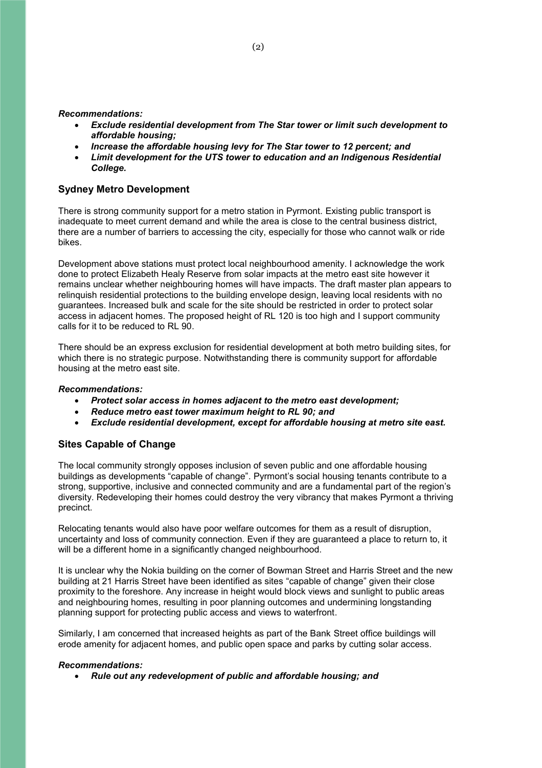*Recommendations:*

- *Exclude residential development from The Star tower or limit such development to affordable housing;*
- *Increase the affordable housing levy for The Star tower to 12 percent; and*
- *Limit development for the UTS tower to education and an Indigenous Residential College.*

# **Sydney Metro Development**

There is strong community support for a metro station in Pyrmont. Existing public transport is inadequate to meet current demand and while the area is close to the central business district, there are a number of barriers to accessing the city, especially for those who cannot walk or ride bikes.

Development above stations must protect local neighbourhood amenity. I acknowledge the work done to protect Elizabeth Healy Reserve from solar impacts at the metro east site however it remains unclear whether neighbouring homes will have impacts. The draft master plan appears to relinquish residential protections to the building envelope design, leaving local residents with no guarantees. Increased bulk and scale for the site should be restricted in order to protect solar access in adjacent homes. The proposed height of RL 120 is too high and I support community calls for it to be reduced to RL 90.

There should be an express exclusion for residential development at both metro building sites, for which there is no strategic purpose. Notwithstanding there is community support for affordable housing at the metro east site.

### *Recommendations:*

- *Protect solar access in homes adjacent to the metro east development;*
- *Reduce metro east tower maximum height to RL 90; and*
- *Exclude residential development, except for affordable housing at metro site east.*

## **Sites Capable of Change**

The local community strongly opposes inclusion of seven public and one affordable housing buildings as developments "capable of change". Pyrmont's social housing tenants contribute to a strong, supportive, inclusive and connected community and are a fundamental part of the region's diversity. Redeveloping their homes could destroy the very vibrancy that makes Pyrmont a thriving precinct.

Relocating tenants would also have poor welfare outcomes for them as a result of disruption, uncertainty and loss of community connection. Even if they are guaranteed a place to return to, it will be a different home in a significantly changed neighbourhood.

It is unclear why the Nokia building on the corner of Bowman Street and Harris Street and the new building at 21 Harris Street have been identified as sites "capable of change" given their close proximity to the foreshore. Any increase in height would block views and sunlight to public areas and neighbouring homes, resulting in poor planning outcomes and undermining longstanding planning support for protecting public access and views to waterfront.

Similarly, I am concerned that increased heights as part of the Bank Street office buildings will erode amenity for adjacent homes, and public open space and parks by cutting solar access.

#### *Recommendations:*

*Rule out any redevelopment of public and affordable housing; and*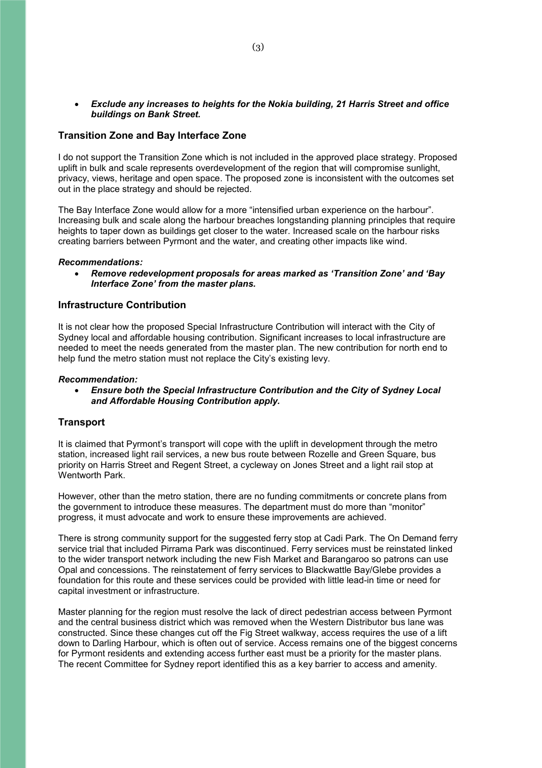### *Exclude any increases to heights for the Nokia building, 21 Harris Street and office buildings on Bank Street.*

### **Transition Zone and Bay Interface Zone**

I do not support the Transition Zone which is not included in the approved place strategy. Proposed uplift in bulk and scale represents overdevelopment of the region that will compromise sunlight, privacy, views, heritage and open space. The proposed zone is inconsistent with the outcomes set out in the place strategy and should be rejected.

The Bay Interface Zone would allow for a more "intensified urban experience on the harbour". Increasing bulk and scale along the harbour breaches longstanding planning principles that require heights to taper down as buildings get closer to the water. Increased scale on the harbour risks creating barriers between Pyrmont and the water, and creating other impacts like wind.

#### *Recommendations:*

 *Remove redevelopment proposals for areas marked as 'Transition Zone' and 'Bay Interface Zone' from the master plans.*

### **Infrastructure Contribution**

It is not clear how the proposed Special Infrastructure Contribution will interact with the City of Sydney local and affordable housing contribution. Significant increases to local infrastructure are needed to meet the needs generated from the master plan. The new contribution for north end to help fund the metro station must not replace the City's existing levy.

#### *Recommendation:*

 *Ensure both the Special Infrastructure Contribution and the City of Sydney Local and Affordable Housing Contribution apply.*

#### **Transport**

It is claimed that Pyrmont's transport will cope with the uplift in development through the metro station, increased light rail services, a new bus route between Rozelle and Green Square, bus priority on Harris Street and Regent Street, a cycleway on Jones Street and a light rail stop at Wentworth Park.

However, other than the metro station, there are no funding commitments or concrete plans from the government to introduce these measures. The department must do more than "monitor" progress, it must advocate and work to ensure these improvements are achieved.

There is strong community support for the suggested ferry stop at Cadi Park. The On Demand ferry service trial that included Pirrama Park was discontinued. Ferry services must be reinstated linked to the wider transport network including the new Fish Market and Barangaroo so patrons can use Opal and concessions. The reinstatement of ferry services to Blackwattle Bay/Glebe provides a foundation for this route and these services could be provided with little lead-in time or need for capital investment or infrastructure.

Master planning for the region must resolve the lack of direct pedestrian access between Pyrmont and the central business district which was removed when the Western Distributor bus lane was constructed. Since these changes cut off the Fig Street walkway, access requires the use of a lift down to Darling Harbour, which is often out of service. Access remains one of the biggest concerns for Pyrmont residents and extending access further east must be a priority for the master plans. The recent Committee for Sydney report identified this as a key barrier to access and amenity.